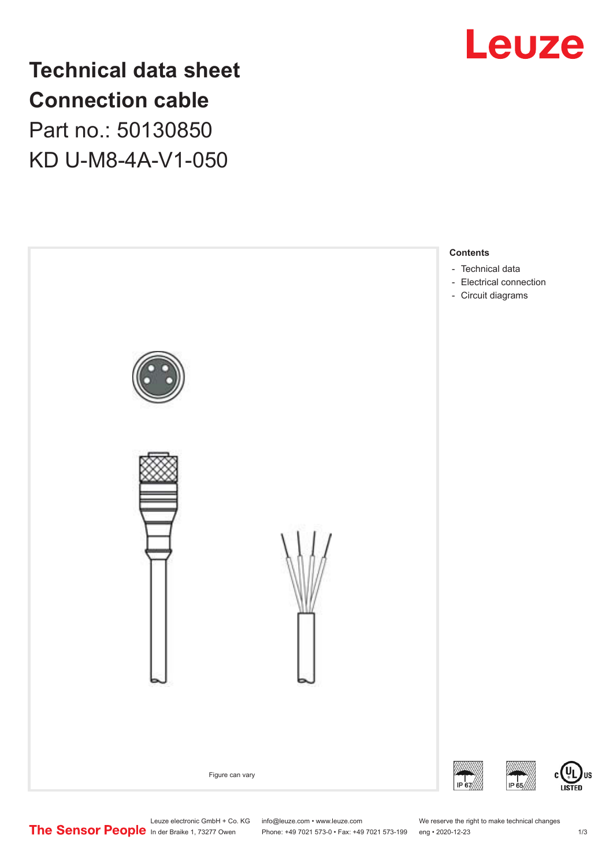

**Technical data sheet Connection cable** Part no.: 50130850 KD U-M8-4A-V1-050



Leuze electronic GmbH + Co. KG info@leuze.com • www.leuze.com We reserve the right to make technical changes<br>
The Sensor People in der Braike 1, 73277 Owen Phone: +49 7021 573-0 • Fax: +49 7021 573-199 eng • 2020-12-23

Phone: +49 7021 573-0 • Fax: +49 7021 573-199 eng • 2020-12-23 1 /3

US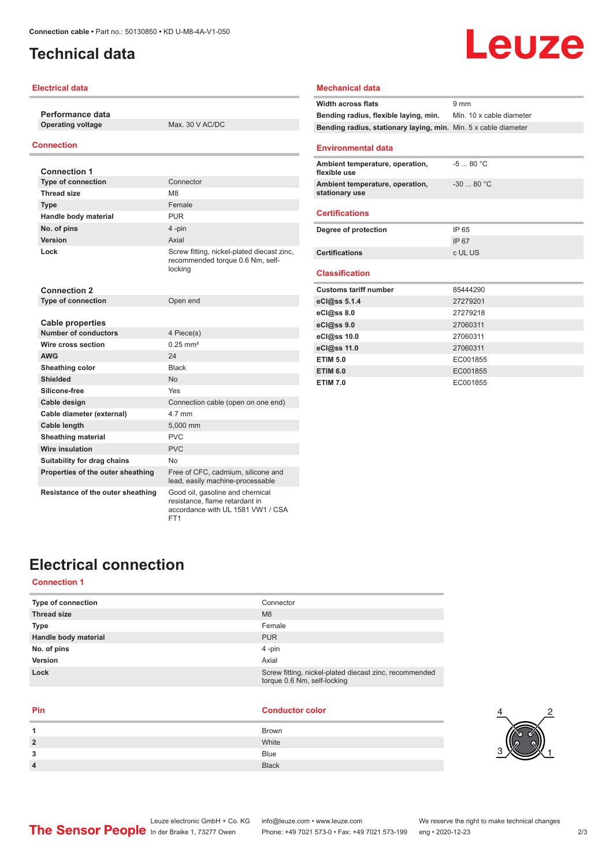## <span id="page-1-0"></span>**Technical data**

#### **Electrical data**

**Performance data Operating voltage** Max. 30 V AC/DC

#### **Connection**

| <b>Connection 1</b>               |                                                                                                        |
|-----------------------------------|--------------------------------------------------------------------------------------------------------|
| <b>Type of connection</b>         | Connector                                                                                              |
| <b>Thread size</b>                | M <sub>8</sub>                                                                                         |
| <b>Type</b>                       | Female                                                                                                 |
| Handle body material              | PUR                                                                                                    |
| No. of pins                       | 4-pin                                                                                                  |
| Version                           | Axial                                                                                                  |
| Lock                              | Screw fitting, nickel-plated diecast zinc,<br>recommended torque 0.6 Nm, self-<br>locking              |
| <b>Connection 2</b>               |                                                                                                        |
| <b>Type of connection</b>         | Open end                                                                                               |
|                                   |                                                                                                        |
| <b>Cable properties</b>           |                                                                                                        |
| <b>Number of conductors</b>       | 4 Piece(s)                                                                                             |
| Wire cross section                | $0.25$ mm <sup>2</sup>                                                                                 |
| <b>AWG</b>                        | 24                                                                                                     |
| Sheathing color                   | <b>Black</b>                                                                                           |
| <b>Shielded</b>                   | <b>No</b>                                                                                              |
| Silicone-free                     | Yes                                                                                                    |
| Cable design                      | Connection cable (open on one end)                                                                     |
| Cable diameter (external)         | 4.7 mm                                                                                                 |
| Cable length                      | 5,000 mm                                                                                               |
| <b>Sheathing material</b>         | <b>PVC</b>                                                                                             |
| Wire insulation                   | PVC.                                                                                                   |
| Suitability for drag chains       | No.                                                                                                    |
| Properties of the outer sheathing | Free of CFC, cadmium, silicone and<br>lead, easily machine-processable                                 |
| Resistance of the outer sheathing | Good oil, gasoline and chemical<br>resistance, flame retardant in<br>accordance with UL 1581 VW1 / CSA |

FT1

### **Mechanical data Width across flats** 9 mm **Bending radius, flexible laying, min.** Min. 10 x cable diameter **Bending radius, stationary laying, min.** Min. 5 x cable diameter **Environmental data Ambient temperature, operation, flexible use** -5 ... 80 °C **Ambient temperature, operation, stationary use** -30 ... 80 °C **Certifications Degree of protection** IP 65 IP 67 **Certifications** c UL US **Classification**

| <b>Customs tariff number</b> | 85444290 |
|------------------------------|----------|
| eCl@ss 5.1.4                 | 27279201 |
| $eC$ <sub>0</sub> $e$ ss 8.0 | 27279218 |
| eCl@ss 9.0                   | 27060311 |
| eCl@ss 10.0                  | 27060311 |
| eCl@ss 11.0                  | 27060311 |
| <b>ETIM 5.0</b>              | EC001855 |
| <b>ETIM 6.0</b>              | EC001855 |
| <b>ETIM 7.0</b>              | EC001855 |

## **Electrical connection**

#### **Connection 1**

| Type of connection   | Connector                                                                             |
|----------------------|---------------------------------------------------------------------------------------|
| <b>Thread size</b>   | M <sub>8</sub>                                                                        |
| <b>Type</b>          | Female                                                                                |
| Handle body material | <b>PUR</b>                                                                            |
| No. of pins          | $4$ -pin                                                                              |
| Version              | Axial                                                                                 |
| Lock                 | Screw fitting, nickel-plated diecast zinc, recommended<br>torque 0.6 Nm, self-locking |

#### **Pin Conductor color**

|   | Brown        |
|---|--------------|
| 2 | White        |
| 3 | Blue         |
| 4 | <b>Black</b> |



# Leuze

Leuze electronic GmbH + Co. KG info@leuze.com • www.leuze.com We reserve the right to make technical changes<br>
The Sensor People in der Braike 1, 73277 Owen Phone: +49 7021 573-0 • Fax: +49 7021 573-199 eng • 2020-12-23

Phone: +49 7021 573-0 • Fax: +49 7021 573-199 eng • 2020-12-23 2/3